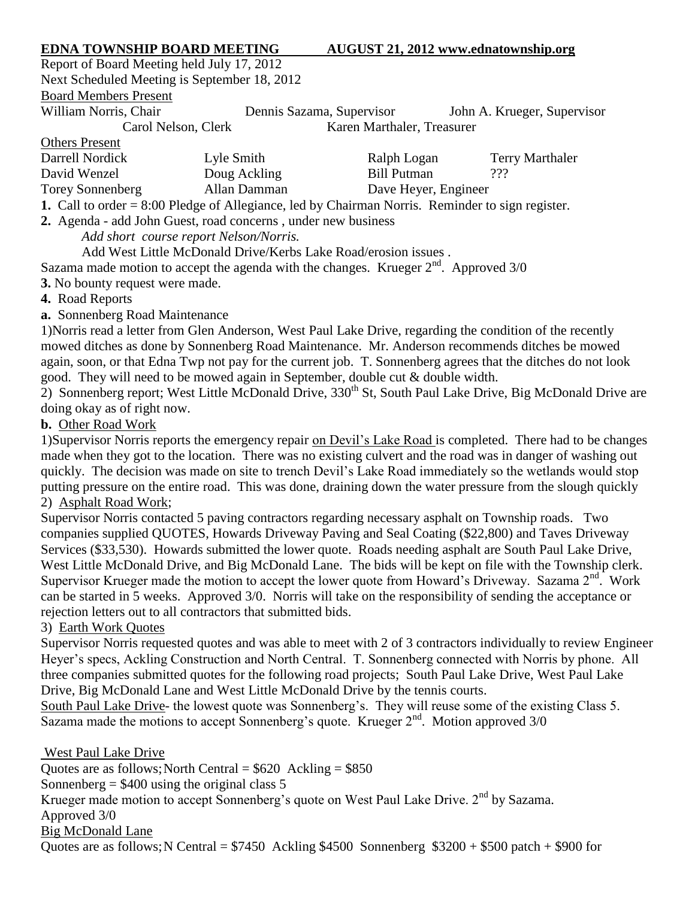# **EDNA TOWNSHIP BOARD MEETING AUGUST 21, 2012 [www.ednatownship.org](http://www.ednatownship.org/)**

Report of Board Meeting held July 17, 2012 Next Scheduled Meeting is September 18, 2012 Board Members Present

William Norris, Chair **Dennis Sazama, Supervisor** John A. Krueger, Supervisor

 $\Omega_{\rm H}$  P

Carol Nelson, Clerk Karen Marthaler, Treasurer

| <b>OTHETS PTESENT</b>                                                                            |              |                      |                        |  |  |
|--------------------------------------------------------------------------------------------------|--------------|----------------------|------------------------|--|--|
| Darrell Nordick                                                                                  | Lyle Smith   | Ralph Logan          | <b>Terry Marthaler</b> |  |  |
| David Wenzel                                                                                     | Doug Ackling | Bill Putman          | ???                    |  |  |
| Torey Sonnenberg                                                                                 | Allan Damman | Dave Heyer, Engineer |                        |  |  |
| $1$ Call to order $-$ 8:00 Pladge of Allegiance Led by Chairman Norris Peminder to sign register |              |                      |                        |  |  |

**1.** Call to order = 8:00 Pledge of Allegiance, led by Chairman Norris. Reminder to sign register.

**2.** Agenda - add John Guest, road concerns , under new business

*Add short course report Nelson/Norris.*

Add West Little McDonald Drive/Kerbs Lake Road/erosion issues .

Sazama made motion to accept the agenda with the changes. Krueger  $2<sup>nd</sup>$ . Approved 3/0

**3.** No bounty request were made.

**4.** Road Reports

**a.** Sonnenberg Road Maintenance

1)Norris read a letter from Glen Anderson, West Paul Lake Drive, regarding the condition of the recently mowed ditches as done by Sonnenberg Road Maintenance. Mr. Anderson recommends ditches be mowed again, soon, or that Edna Twp not pay for the current job. T. Sonnenberg agrees that the ditches do not look good. They will need to be mowed again in September, double cut & double width.

2) Sonnenberg report; West Little McDonald Drive,  $330^{th}$  St, South Paul Lake Drive, Big McDonald Drive are doing okay as of right now.

### **b.** Other Road Work

1)Supervisor Norris reports the emergency repair on Devil's Lake Road is completed. There had to be changes made when they got to the location. There was no existing culvert and the road was in danger of washing out quickly. The decision was made on site to trench Devil's Lake Road immediately so the wetlands would stop putting pressure on the entire road. This was done, draining down the water pressure from the slough quickly 2) Asphalt Road Work;

Supervisor Norris contacted 5 paving contractors regarding necessary asphalt on Township roads. Two companies supplied QUOTES, Howards Driveway Paving and Seal Coating (\$22,800) and Taves Driveway Services (\$33,530). Howards submitted the lower quote. Roads needing asphalt are South Paul Lake Drive, West Little McDonald Drive, and Big McDonald Lane. The bids will be kept on file with the Township clerk. Supervisor Krueger made the motion to accept the lower quote from Howard's Driveway. Sazama  $2<sup>nd</sup>$ . Work can be started in 5 weeks. Approved 3/0. Norris will take on the responsibility of sending the acceptance or rejection letters out to all contractors that submitted bids.

## 3) Earth Work Quotes

Supervisor Norris requested quotes and was able to meet with 2 of 3 contractors individually to review Engineer Heyer's specs, Ackling Construction and North Central. T. Sonnenberg connected with Norris by phone. All three companies submitted quotes for the following road projects; South Paul Lake Drive, West Paul Lake Drive, Big McDonald Lane and West Little McDonald Drive by the tennis courts.

South Paul Lake Drive- the lowest quote was Sonnenberg's. They will reuse some of the existing Class 5. Sazama made the motions to accept Sonnenberg's quote. Krueger 2nd. Motion approved 3/0

West Paul Lake Drive Quotes are as follows; North Central  $= $620$  Ackling  $= $850$ Sonnenberg  $=$  \$400 using the original class 5 Krueger made motion to accept Sonnenberg's quote on West Paul Lake Drive. 2<sup>nd</sup> by Sazama. Approved 3/0 Big McDonald Lane Quotes are as follows; N Central =  $$7450$  Ackling \$4500 Sonnenberg \$3200 + \$500 patch + \$900 for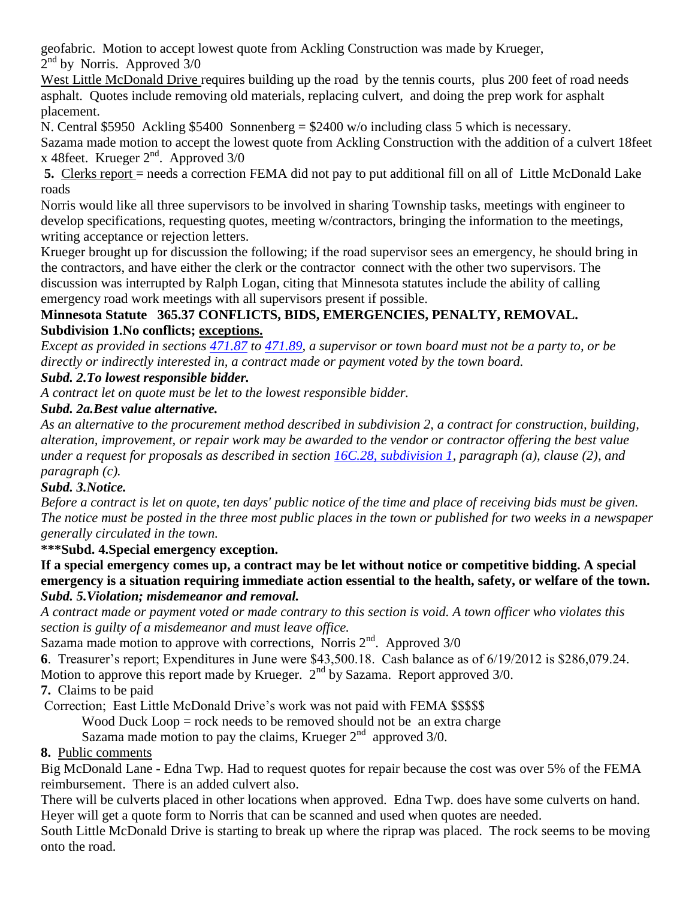geofabric. Motion to accept lowest quote from Ackling Construction was made by Krueger,

 $2<sup>nd</sup>$  by Norris. Approved  $3/0$ 

West Little McDonald Drive requires building up the road by the tennis courts, plus 200 feet of road needs asphalt. Quotes include removing old materials, replacing culvert, and doing the prep work for asphalt placement.

N. Central \$5950 Ackling \$5400 Sonnenberg = \$2400 w/o including class 5 which is necessary.

Sazama made motion to accept the lowest quote from Ackling Construction with the addition of a culvert 18feet x 48feet. Krueger  $2<sup>nd</sup>$ . Approved 3/0

**5.** Clerks report = needs a correction FEMA did not pay to put additional fill on all of Little McDonald Lake roads

Norris would like all three supervisors to be involved in sharing Township tasks, meetings with engineer to develop specifications, requesting quotes, meeting w/contractors, bringing the information to the meetings, writing acceptance or rejection letters.

Krueger brought up for discussion the following; if the road supervisor sees an emergency, he should bring in the contractors, and have either the clerk or the contractor connect with the other two supervisors. The discussion was interrupted by Ralph Logan, citing that Minnesota statutes include the ability of calling emergency road work meetings with all supervisors present if possible.

## **Minnesota Statute 365.37 CONFLICTS, BIDS, EMERGENCIES, PENALTY, REMOVAL. Subdivision 1.No conflicts; exceptions.**

*Except as provided in sections [471.87](/statutes?id=471.87%20/%20stat.471.87) to [471.89,](/statutes?id=471.89%20/%20stat.471.89) a supervisor or town board must not be a party to, or be directly or indirectly interested in, a contract made or payment voted by the town board.* 

## *Subd. 2.To lowest responsible bidder.*

*A contract let on quote must be let to the lowest responsible bidder.*

### *Subd. 2a.Best value alternative.*

*As an alternative to the procurement method described in subdivision 2, a contract for construction, building, alteration, improvement, or repair work may be awarded to the vendor or contractor offering the best value under a request for proposals as described in section [16C.28, subdivision 1,](/statutes?id=16C.28%20/%20stat.16C.28.1) paragraph (a), clause (2), and paragraph (c).* 

## *Subd. 3.Notice.*

*Before a contract is let on quote, ten days' public notice of the time and place of receiving bids must be given. The notice must be posted in the three most public places in the town or published for two weeks in a newspaper generally circulated in the town.*

## **\*\*\*Subd. 4.Special emergency exception.**

**If a special emergency comes up, a contract may be let without notice or competitive bidding. A special emergency is a situation requiring immediate action essential to the health, safety, or welfare of the town.** *Subd. 5.Violation; misdemeanor and removal.*

*A contract made or payment voted or made contrary to this section is void. A town officer who violates this section is guilty of a misdemeanor and must leave office.*

Sazama made motion to approve with corrections, Norris  $2<sup>nd</sup>$ . Approved  $3/0$ 

**6**. Treasurer's report; Expenditures in June were \$43,500.18. Cash balance as of 6/19/2012 is \$286,079.24. Motion to approve this report made by Krueger.  $2<sup>nd</sup>$  by Sazama. Report approved 3/0.

**7.** Claims to be paid

Correction; East Little McDonald Drive's work was not paid with FEMA \$\$\$\$\$

Wood Duck Loop = rock needs to be removed should not be an extra charge

Sazama made motion to pay the claims, Krueger  $2<sup>nd</sup>$  approved 3/0.

## **8.** Public comments

Big McDonald Lane - Edna Twp. Had to request quotes for repair because the cost was over 5% of the FEMA reimbursement. There is an added culvert also.

There will be culverts placed in other locations when approved. Edna Twp. does have some culverts on hand. Heyer will get a quote form to Norris that can be scanned and used when quotes are needed.

South Little McDonald Drive is starting to break up where the riprap was placed. The rock seems to be moving onto the road.